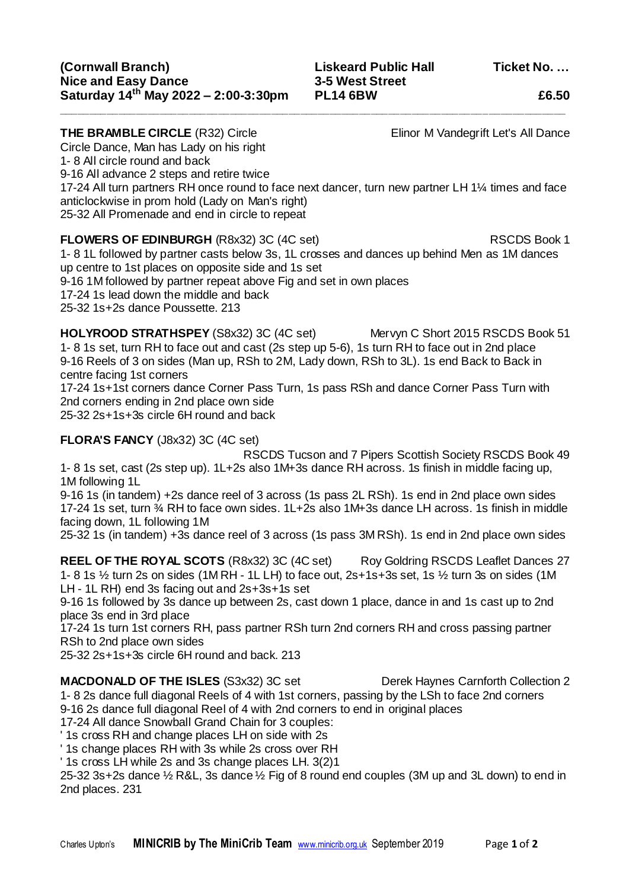**THE BRAMBLE CIRCLE** (R32) Circle Elinor M Vandegrift Let's All Dance Circle Dance, Man has Lady on his right 1- 8 All circle round and back 9-16 All advance 2 steps and retire twice 17-24 All turn partners RH once round to face next dancer, turn new partner LH 1¼ times and face anticlockwise in prom hold (Lady on Man's right) 25-32 All Promenade and end in circle to repeat

**\_\_\_\_\_\_\_\_\_\_\_\_\_\_\_\_\_\_\_\_\_\_\_\_\_\_\_\_\_\_\_\_\_\_\_\_\_\_\_\_\_\_\_\_\_\_\_\_\_\_\_\_\_\_\_\_\_\_\_\_\_\_\_\_\_\_\_\_\_\_\_\_\_\_\_\_\_\_\_\_\_\_\_\_\_\_**

**FLOWERS OF EDINBURGH** (R8x32) 3C (4C set) RSCDS Book 1 1- 8 1L followed by partner casts below 3s, 1L crosses and dances up behind Men as 1M dances up centre to 1st places on opposite side and 1s set 9-16 1M followed by partner repeat above Fig and set in own places 17-24 1s lead down the middle and back 25-32 1s+2s dance Poussette. 213

**HOLYROOD STRATHSPEY** (S8x32) 3C (4C set) Mervyn C Short 2015 RSCDS Book 51 1- 8 1s set, turn RH to face out and cast (2s step up 5-6), 1s turn RH to face out in 2nd place 9-16 Reels of 3 on sides (Man up, RSh to 2M, Lady down, RSh to 3L). 1s end Back to Back in centre facing 1st corners

17-24 1s+1st corners dance Corner Pass Turn, 1s pass RSh and dance Corner Pass Turn with 2nd corners ending in 2nd place own side

25-32 2s+1s+3s circle 6H round and back

## **FLORA'S FANCY** (J8x32) 3C (4C set)

RSCDS Tucson and 7 Pipers Scottish Society RSCDS Book 49 1- 8 1s set, cast (2s step up). 1L+2s also 1M+3s dance RH across. 1s finish in middle facing up, 1M following 1L

9-16 1s (in tandem) +2s dance reel of 3 across (1s pass 2L RSh). 1s end in 2nd place own sides 17-24 1s set, turn ¾ RH to face own sides. 1L+2s also 1M+3s dance LH across. 1s finish in middle facing down, 1L following 1M

25-32 1s (in tandem) +3s dance reel of 3 across (1s pass 3M RSh). 1s end in 2nd place own sides

**REEL OF THE ROYAL SCOTS** (R8x32) 3C (4C set) Roy Goldring RSCDS Leaflet Dances 27 1- 8 1s ½ turn 2s on sides (1M RH - 1L LH) to face out, 2s+1s+3s set, 1s ½ turn 3s on sides (1M LH - 1L RH) end 3s facing out and 2s+3s+1s set

9-16 1s followed by 3s dance up between 2s, cast down 1 place, dance in and 1s cast up to 2nd place 3s end in 3rd place

17-24 1s turn 1st corners RH, pass partner RSh turn 2nd corners RH and cross passing partner RSh to 2nd place own sides

25-32 2s+1s+3s circle 6H round and back. 213

**MACDONALD OF THE ISLES** (S3x32) 3C set Derek Haynes Carnforth Collection 2 1- 8 2s dance full diagonal Reels of 4 with 1st corners, passing by the LSh to face 2nd corners 9-16 2s dance full diagonal Reel of 4 with 2nd corners to end in original places

17-24 All dance Snowball Grand Chain for 3 couples:

' 1s cross RH and change places LH on side with 2s

' 1s change places RH with 3s while 2s cross over RH

' 1s cross LH while 2s and 3s change places LH. 3(2)1

25-32 3s+2s dance ½ R&L, 3s dance ½ Fig of 8 round end couples (3M up and 3L down) to end in 2nd places. 231